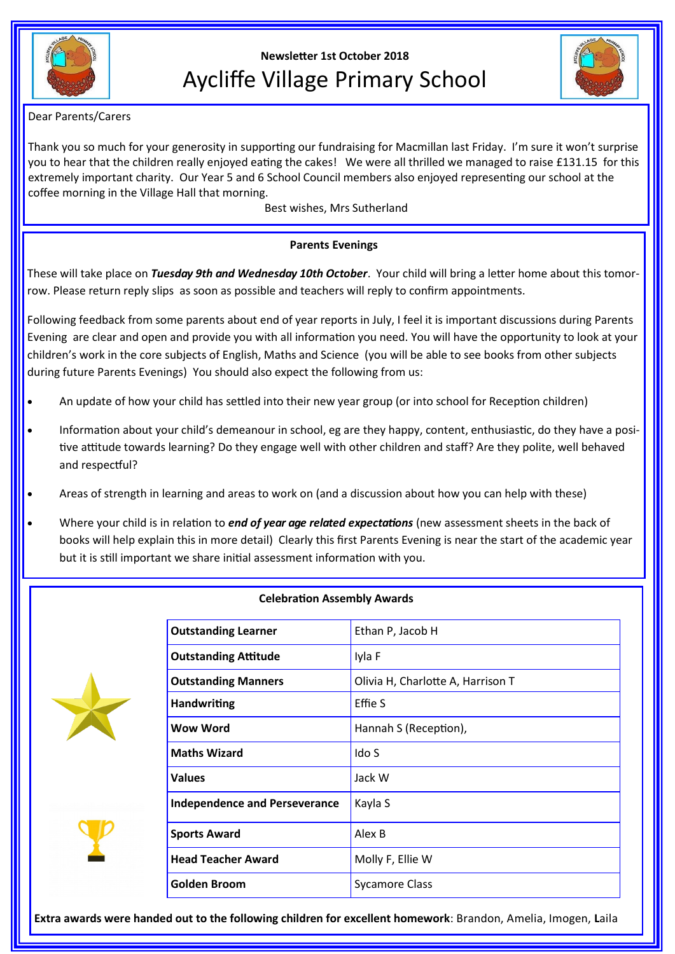

# **Newsletter 1st October 2018** Aycliffe Village Primary School



### Dear Parents/Carers

Thank you so much for your generosity in supporting our fundraising for Macmillan last Friday. I'm sure it won't surprise you to hear that the children really enjoyed eating the cakes! We were all thrilled we managed to raise £131.15 for this extremely important charity. Our Year 5 and 6 School Council members also enjoyed representing our school at the coffee morning in the Village Hall that morning.

Best wishes, Mrs Sutherland

## **Parents Evenings**

These will take place on *Tuesday 9th and Wednesday 10th October*. Your child will bring a letter home about this tomorrow. Please return reply slips as soon as possible and teachers will reply to confirm appointments.

Following feedback from some parents about end of year reports in July, I feel it is important discussions during Parents Evening are clear and open and provide you with all information you need. You will have the opportunity to look at your children's work in the core subjects of English, Maths and Science (you will be able to see books from other subjects during future Parents Evenings) You should also expect the following from us:

- An update of how your child has settled into their new year group (or into school for Reception children)
- Information about your child's demeanour in school, eg are they happy, content, enthusiastic, do they have a positive attitude towards learning? Do they engage well with other children and staff? Are they polite, well behaved and respectful?
- Areas of strength in learning and areas to work on (and a discussion about how you can help with these)
- Where your child is in relation to *end of year age related expectations* (new assessment sheets in the back of books will help explain this in more detail) Clearly this first Parents Evening is near the start of the academic year but it is still important we share initial assessment information with you.

| <b>Outstanding Learner</b>           | Ethan P, Jacob H                  |  |
|--------------------------------------|-----------------------------------|--|
| <b>Outstanding Attitude</b>          | Iyla F                            |  |
| <b>Outstanding Manners</b>           | Olivia H, Charlotte A, Harrison T |  |
| <b>Handwriting</b>                   | Effie S                           |  |
| Wow Word                             | Hannah S (Reception),             |  |
| <b>Maths Wizard</b>                  | Ido S                             |  |
| <b>Values</b>                        | Jack W                            |  |
| <b>Independence and Perseverance</b> | Kayla S                           |  |
| <b>Sports Award</b>                  | Alex B                            |  |
| <b>Head Teacher Award</b>            | Molly F, Ellie W                  |  |
| <b>Golden Broom</b>                  | <b>Sycamore Class</b>             |  |
|                                      |                                   |  |

### **Celebration Assembly Awards**

**Extra awards were handed out to the following children for excellent homework**: Brandon, Amelia, Imogen, **L**aila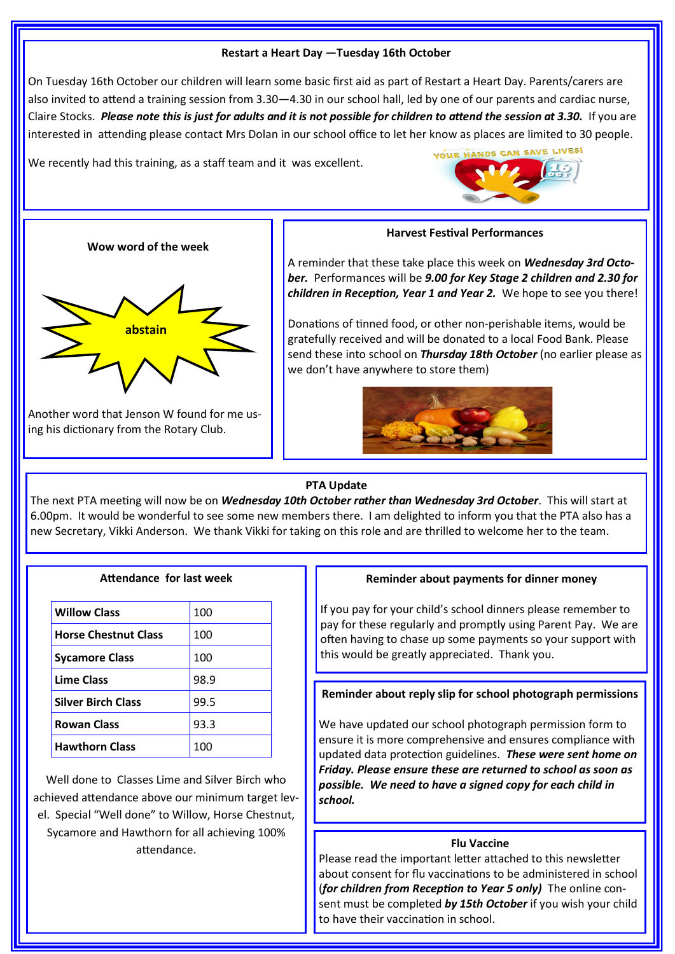### **Restart a Heart Day —Tuesday 16th October**

On Tuesday 16th October our children will learn some basic first aid as part of Restart a Heart Day. Parents/carers are also invited to attend a training session from 3.30—4.30 in our school hall, led by one of our parents and cardiac nurse, Claire Stocks. *Please note this is just for adults and it is not possible for children to attend the session at 3.30.* If you are interested in attending please contact Mrs Dolan in our school office to let her know as places are limited to 30 people.

We recently had this training, as a staff team and it was excellent.



### **Wow word of the week**



Another word that Jenson W found for me us-

ing his dictionary from the Rotary Club.

**Harvest Festival Performances**

A reminder that these take place this week on *Wednesday 3rd October.* Performances will be *9.00 for Key Stage 2 children and 2.30 for children in Reception, Year 1 and Year 2.* We hope to see you there!

Donations of tinned food, or other non-perishable items, would be gratefully received and will be donated to a local Food Bank. Please send these into school on *Thursday 18th October* (no earlier please as we don't have anywhere to store them)



# **PTA Update**

The next PTA meeting will now be on *Wednesday 10th October rather than Wednesday 3rd October*. This will start at 6.00pm. It would be wonderful to see some new members there. I am delighted to inform you that the PTA also has a new Secretary, Vikki Anderson. We thank Vikki for taking on this role and are thrilled to welcome her to the team.

| Attendance for last week |  |  |
|--------------------------|--|--|
|                          |  |  |

| <b>Willow Class</b>         | 100  |
|-----------------------------|------|
| <b>Horse Chestnut Class</b> | 100  |
| <b>Sycamore Class</b>       | 100  |
| <b>Lime Class</b>           | 98.9 |
| <b>Silver Birch Class</b>   | 99.5 |
| <b>Rowan Class</b>          | 93.3 |
| <b>Hawthorn Class</b>       | 100  |

Well done to Classes Lime and Silver Birch who achieved attendance above our minimum target level. Special "Well done" to Willow, Horse Chestnut, Sycamore and Hawthorn for all achieving 100% attendance.

### **Reminder about payments for dinner money**

If you pay for your child's school dinners please remember to pay for these regularly and promptly using Parent Pay. We are often having to chase up some payments so your support with this would be greatly appreciated. Thank you.

**Reminder about reply slip for school photograph permissions**

We have updated our school photograph permission form to ensure it is more comprehensive and ensures compliance with updated data protection guidelines. *These were sent home on Friday. Please ensure these are returned to school as soon as possible. We need to have a signed copy for each child in school.*

### **Flu Vaccine**

Please read the important letter attached to this newsletter about consent for flu vaccinations to be administered in school (*for children from Reception to Year 5 only)* The online consent must be completed *by 15th October* if you wish your child to have their vaccination in school.